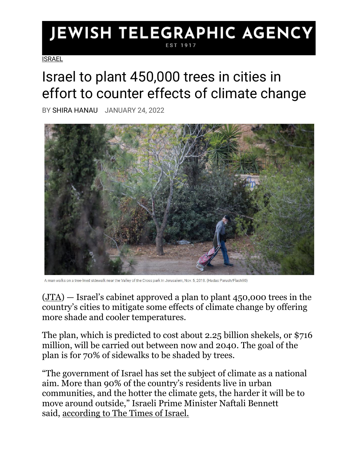## JEWISH TELEGRAPHIC AGENCY EST 1917

**[ISRAEL](https://www.jta.org/category/israel)** 

## Israel to plant 450,000 trees in cities in effort to counter effects of climate change

BY [SHIRA HANAU](https://www.jta.org/author/shira-hanau) JANUARY 24, 2022



A man walks on a tree-lined sidewalk near the Valley of the Cross park in Jerusalem, Nov. 5, 2018. (Hadas Parush/Flash90)

 $(JTA)$  — Israel's cabinet approved a plan to plant 450,000 trees in the country's cities to mitigate some effects of climate change by offering more shade and cooler temperatures.

The plan, which is predicted to cost about 2.25 billion shekels, or \$716 million, will be carried out between now and 2040. The goal of the plan is for 70% of sidewalks to be shaded by trees.

"The government of Israel has set the subject of climate as a national aim. More than 90% of the country's residents live in urban communities, and the hotter the climate gets, the harder it will be to move around outside," Israeli Prime Minister Naftali Bennett said, [according to The Times of Israel.](https://www.timesofisrael.com/government-agrees-to-plant-450000-urban-trees-to-help-counter-rising-heat/)